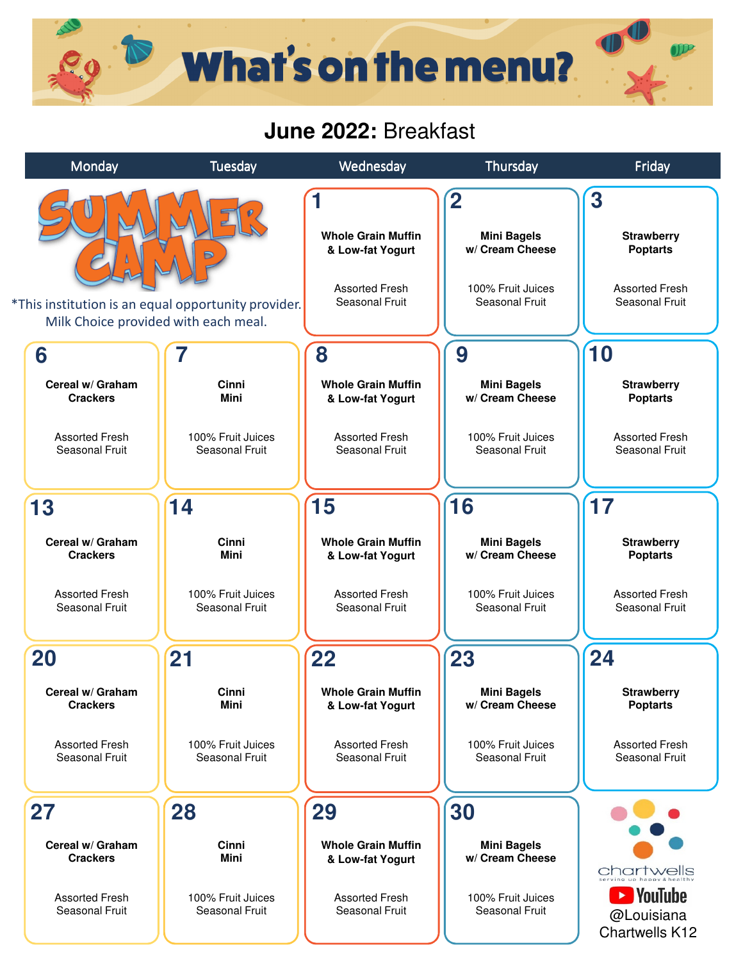## **What's on the menu?**

## **June 2022:** Breakfast